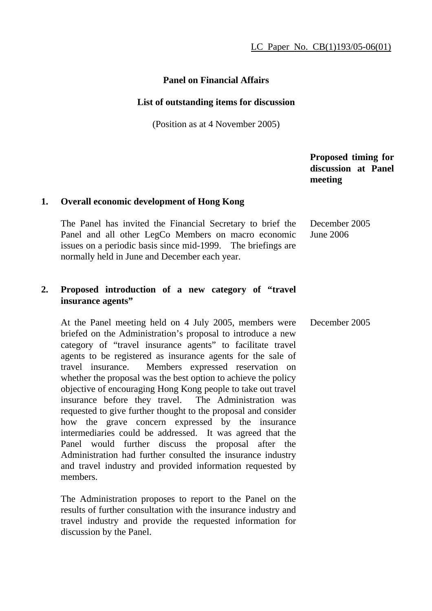# **Panel on Financial Affairs**

### **List of outstanding items for discussion**

(Position as at 4 November 2005)

 **Proposed timing for discussion at Panel meeting** 

### **1. Overall economic development of Hong Kong**

 The Panel has invited the Financial Secretary to brief the Panel and all other LegCo Members on macro economic issues on a periodic basis since mid-1999. The briefings are normally held in June and December each year. December 2005 June 2006

## **2. Proposed introduction of a new category of "travel insurance agents"**

 At the Panel meeting held on 4 July 2005, members were briefed on the Administration's proposal to introduce a new category of "travel insurance agents" to facilitate travel agents to be registered as insurance agents for the sale of travel insurance. Members expressed reservation on whether the proposal was the best option to achieve the policy objective of encouraging Hong Kong people to take out travel insurance before they travel. The Administration was requested to give further thought to the proposal and consider how the grave concern expressed by the insurance intermediaries could be addressed. It was agreed that the Panel would further discuss the proposal after the Administration had further consulted the insurance industry and travel industry and provided information requested by members. December 2005

 The Administration proposes to report to the Panel on the results of further consultation with the insurance industry and travel industry and provide the requested information for discussion by the Panel.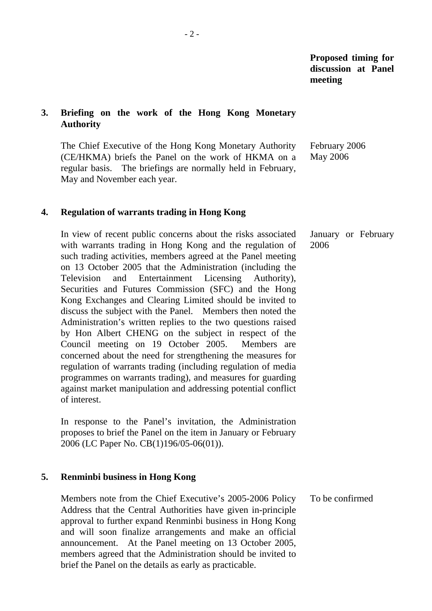**Proposed timing for discussion at Panel meeting** 

# **3. Briefing on the work of the Hong Kong Monetary Authority**

 The Chief Executive of the Hong Kong Monetary Authority (CE/HKMA) briefs the Panel on the work of HKMA on a regular basis. The briefings are normally held in February, May and November each year. February 2006 May 2006

### **4. Regulation of warrants trading in Hong Kong**

In view of recent public concerns about the risks associated with warrants trading in Hong Kong and the regulation of such trading activities, members agreed at the Panel meeting on 13 October 2005 that the Administration (including the Television and Entertainment Licensing Authority), Securities and Futures Commission (SFC) and the Hong Kong Exchanges and Clearing Limited should be invited to discuss the subject with the Panel. Members then noted the Administration's written replies to the two questions raised by Hon Albert CHENG on the subject in respect of the Council meeting on 19 October 2005. Members are concerned about the need for strengthening the measures for regulation of warrants trading (including regulation of media programmes on warrants trading), and measures for guarding against market manipulation and addressing potential conflict of interest. January or February 2006

 In response to the Panel's invitation, the Administration proposes to brief the Panel on the item in January or February 2006 (LC Paper No. CB(1)196/05-06(01)).

### **5. Renminbi business in Hong Kong**

Members note from the Chief Executive's 2005-2006 Policy Address that the Central Authorities have given in-principle approval to further expand Renminbi business in Hong Kong and will soon finalize arrangements and make an official announcement. At the Panel meeting on 13 October 2005, members agreed that the Administration should be invited to brief the Panel on the details as early as practicable. To be confirmed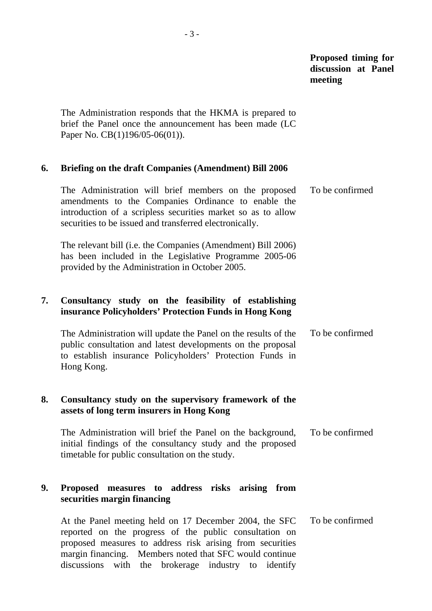**Proposed timing for discussion at Panel meeting** 

 The Administration responds that the HKMA is prepared to brief the Panel once the announcement has been made (LC Paper No. CB(1)196/05-06(01)).

### **6. Briefing on the draft Companies (Amendment) Bill 2006**

 The Administration will brief members on the proposed amendments to the Companies Ordinance to enable the introduction of a scripless securities market so as to allow securities to be issued and transferred electronically. The relevant bill (i.e. the Companies (Amendment) Bill 2006) has been included in the Legislative Programme 2005-06 provided by the Administration in October 2005. To be confirmed

# **7. Consultancy study on the feasibility of establishing insurance Policyholders' Protection Funds in Hong Kong**

| The Administration will update the Panel on the results of the | To be confirmed |
|----------------------------------------------------------------|-----------------|
| public consultation and latest developments on the proposal    |                 |
| to establish insurance Policyholders' Protection Funds in      |                 |
| Hong Kong.                                                     |                 |

### **8. Consultancy study on the supervisory framework of the assets of long term insurers in Hong Kong**

| The Administration will brief the Panel on the background, | To be confirmed |
|------------------------------------------------------------|-----------------|
| initial findings of the consultancy study and the proposed |                 |
| timetable for public consultation on the study.            |                 |

## **9. Proposed measures to address risks arising from securities margin financing**

 At the Panel meeting held on 17 December 2004, the SFC reported on the progress of the public consultation on proposed measures to address risk arising from securities margin financing. Members noted that SFC would continue discussions with the brokerage industry to identify To be confirmed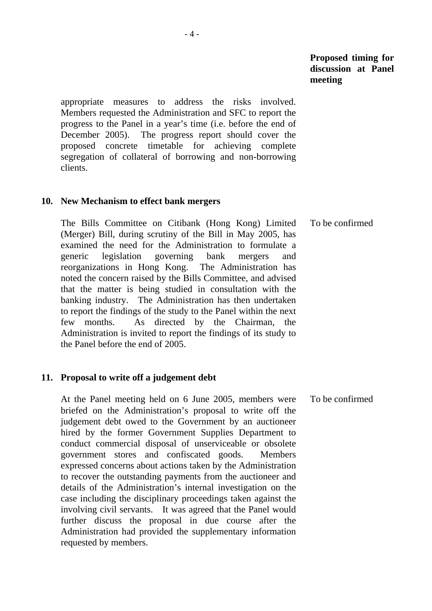appropriate measures to address the risks involved. Members requested the Administration and SFC to report the progress to the Panel in a year's time (i.e. before the end of December 2005). The progress report should cover the proposed concrete timetable for achieving complete segregation of collateral of borrowing and non-borrowing clients.

### **10. New Mechanism to effect bank mergers**

 The Bills Committee on Citibank (Hong Kong) Limited (Merger) Bill, during scrutiny of the Bill in May 2005, has examined the need for the Administration to formulate a generic legislation governing bank mergers and reorganizations in Hong Kong. The Administration has noted the concern raised by the Bills Committee, and advised that the matter is being studied in consultation with the banking industry. The Administration has then undertaken to report the findings of the study to the Panel within the next few months. As directed by the Chairman, the Administration is invited to report the findings of its study to the Panel before the end of 2005. To be confirmed

#### **11. Proposal to write off a judgement debt**

 At the Panel meeting held on 6 June 2005, members were briefed on the Administration's proposal to write off the judgement debt owed to the Government by an auctioneer hired by the former Government Supplies Department to conduct commercial disposal of unserviceable or obsolete government stores and confiscated goods. Members expressed concerns about actions taken by the Administration to recover the outstanding payments from the auctioneer and details of the Administration's internal investigation on the case including the disciplinary proceedings taken against the involving civil servants. It was agreed that the Panel would further discuss the proposal in due course after the Administration had provided the supplementary information requested by members. To be confirmed